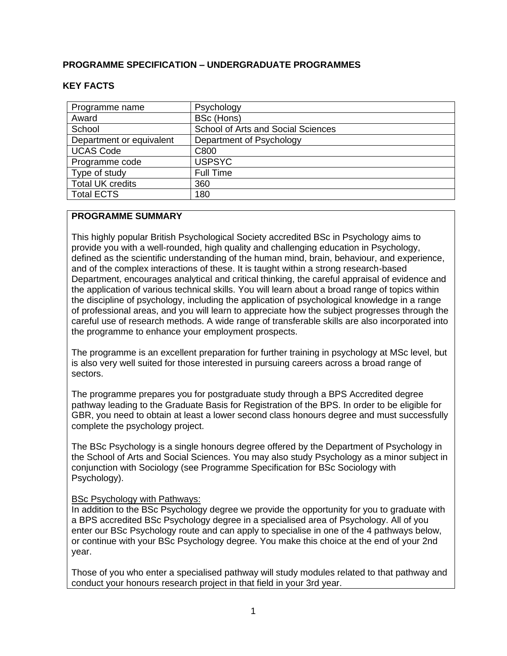### **PROGRAMME SPECIFICATION – UNDERGRADUATE PROGRAMMES**

| Programme name           | Psychology                         |
|--------------------------|------------------------------------|
| Award                    | BSc (Hons)                         |
| School                   | School of Arts and Social Sciences |
| Department or equivalent | Department of Psychology           |
| <b>UCAS Code</b>         | C800                               |
| Programme code           | <b>USPSYC</b>                      |
| Type of study            | <b>Full Time</b>                   |
| <b>Total UK credits</b>  | 360                                |
| <b>Total ECTS</b>        | 180                                |

#### **KEY FACTS**

#### **PROGRAMME SUMMARY**

This highly popular British Psychological Society accredited BSc in Psychology aims to provide you with a well-rounded, high quality and challenging education in Psychology, defined as the scientific understanding of the human mind, brain, behaviour, and experience, and of the complex interactions of these. It is taught within a strong research-based Department, encourages analytical and critical thinking, the careful appraisal of evidence and the application of various technical skills. You will learn about a broad range of topics within the discipline of psychology, including the application of psychological knowledge in a range of professional areas, and you will learn to appreciate how the subject progresses through the careful use of research methods. A wide range of transferable skills are also incorporated into the programme to enhance your employment prospects.

The programme is an excellent preparation for further training in psychology at MSc level, but is also very well suited for those interested in pursuing careers across a broad range of sectors.

The programme prepares you for postgraduate study through a BPS Accredited degree pathway leading to the Graduate Basis for Registration of the BPS. In order to be eligible for GBR, you need to obtain at least a lower second class honours degree and must successfully complete the psychology project.

The BSc Psychology is a single honours degree offered by the Department of Psychology in the School of Arts and Social Sciences. You may also study Psychology as a minor subject in conjunction with Sociology (see Programme Specification for BSc Sociology with Psychology).

#### BSc Psychology with Pathways:

In addition to the BSc Psychology degree we provide the opportunity for you to graduate with a BPS accredited BSc Psychology degree in a specialised area of Psychology. All of you enter our BSc Psychology route and can apply to specialise in one of the 4 pathways below, or continue with your BSc Psychology degree. You make this choice at the end of your 2nd year.

Those of you who enter a specialised pathway will study modules related to that pathway and conduct your honours research project in that field in your 3rd year.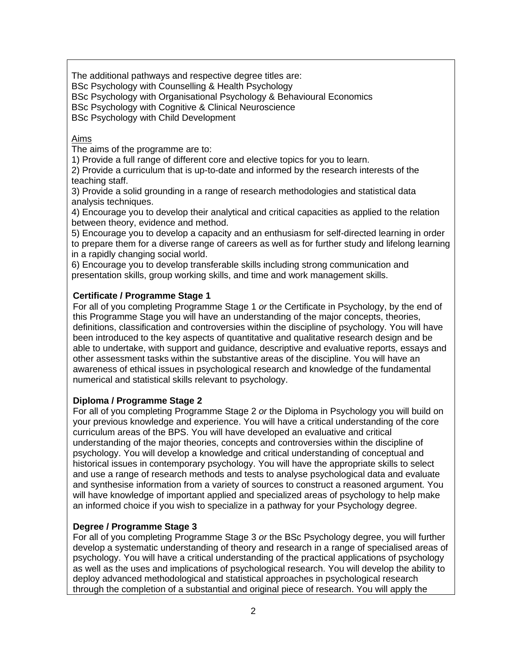The additional pathways and respective degree titles are: • BSc Psychology with Counselling & Health Psychology • BSc Psychology with Organisational Psychology & Behavioural Economics • BSc Psychology with Cognitive & Clinical Neuroscience **BSc Psychology with Child Development** 

#### Aims

The aims of the programme are to:

1) Provide a full range of different core and elective topics for you to learn.

2) Provide a curriculum that is up-to-date and informed by the research interests of the teaching staff.

3) Provide a solid grounding in a range of research methodologies and statistical data analysis techniques.

4) Encourage you to develop their analytical and critical capacities as applied to the relation between theory, evidence and method.

5) Encourage you to develop a capacity and an enthusiasm for self-directed learning in order to prepare them for a diverse range of careers as well as for further study and lifelong learning in a rapidly changing social world.

6) Encourage you to develop transferable skills including strong communication and presentation skills, group working skills, and time and work management skills.

#### **Certificate / Programme Stage 1**

For all of you completing Programme Stage 1 *or* the Certificate in Psychology, by the end of this Programme Stage you will have an understanding of the major concepts, theories, definitions, classification and controversies within the discipline of psychology. You will have been introduced to the key aspects of quantitative and qualitative research design and be able to undertake, with support and guidance, descriptive and evaluative reports, essays and other assessment tasks within the substantive areas of the discipline. You will have an awareness of ethical issues in psychological research and knowledge of the fundamental numerical and statistical skills relevant to psychology.

#### **Diploma / Programme Stage 2**

For all of you completing Programme Stage 2 *or* the Diploma in Psychology you will build on your previous knowledge and experience. You will have a critical understanding of the core curriculum areas of the BPS. You will have developed an evaluative and critical understanding of the major theories, concepts and controversies within the discipline of psychology. You will develop a knowledge and critical understanding of conceptual and historical issues in contemporary psychology. You will have the appropriate skills to select and use a range of research methods and tests to analyse psychological data and evaluate and synthesise information from a variety of sources to construct a reasoned argument. You will have knowledge of important applied and specialized areas of psychology to help make an informed choice if you wish to specialize in a pathway for your Psychology degree.

### **Degree / Programme Stage 3**

For all of you completing Programme Stage 3 *or* the BSc Psychology degree, you will further develop a systematic understanding of theory and research in a range of specialised areas of psychology. You will have a critical understanding of the practical applications of psychology as well as the uses and implications of psychological research. You will develop the ability to deploy advanced methodological and statistical approaches in psychological research through the completion of a substantial and original piece of research. You will apply the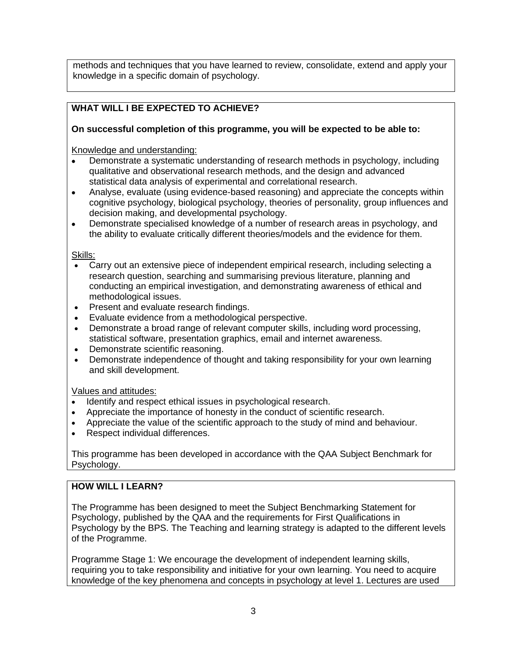methods and techniques that you have learned to review, consolidate, extend and apply your knowledge in a specific domain of psychology.

# **WHAT WILL I BE EXPECTED TO ACHIEVE?**

## **On successful completion of this programme, you will be expected to be able to:**

Knowledge and understanding:

- Demonstrate a systematic understanding of research methods in psychology, including qualitative and observational research methods, and the design and advanced statistical data analysis of experimental and correlational research.
- Analyse, evaluate (using evidence-based reasoning) and appreciate the concepts within cognitive psychology, biological psychology, theories of personality, group influences and decision making, and developmental psychology.
- Demonstrate specialised knowledge of a number of research areas in psychology, and the ability to evaluate critically different theories/models and the evidence for them.

Skills:

- Carry out an extensive piece of independent empirical research, including selecting a research question, searching and summarising previous literature, planning and conducting an empirical investigation, and demonstrating awareness of ethical and methodological issues.
- Present and evaluate research findings.
- Evaluate evidence from a methodological perspective.
- Demonstrate a broad range of relevant computer skills, including word processing, statistical software, presentation graphics, email and internet awareness.
- Demonstrate scientific reasoning.
- Demonstrate independence of thought and taking responsibility for your own learning and skill development.

Values and attitudes:

- Identify and respect ethical issues in psychological research.
- Appreciate the importance of honesty in the conduct of scientific research.
- Appreciate the value of the scientific approach to the study of mind and behaviour.
- Respect individual differences.

This programme has been developed in accordance with the QAA Subject Benchmark for Psychology.

### **HOW WILL I LEARN?**

The Programme has been designed to meet the Subject Benchmarking Statement for Psychology, published by the QAA and the requirements for First Qualifications in Psychology by the BPS. The Teaching and learning strategy is adapted to the different levels of the Programme.

Programme Stage 1: We encourage the development of independent learning skills, requiring you to take responsibility and initiative for your own learning. You need to acquire knowledge of the key phenomena and concepts in psychology at level 1. Lectures are used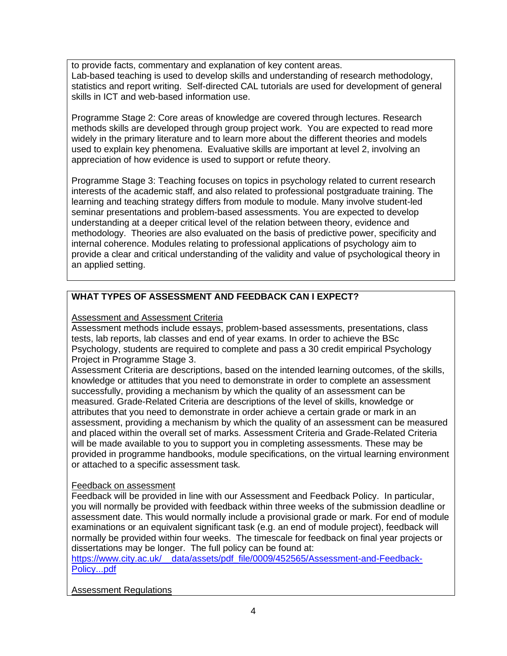to provide facts, commentary and explanation of key content areas. Lab-based teaching is used to develop skills and understanding of research methodology, statistics and report writing. Self-directed CAL tutorials are used for development of general skills in ICT and web-based information use.

Programme Stage 2: Core areas of knowledge are covered through lectures. Research methods skills are developed through group project work. You are expected to read more widely in the primary literature and to learn more about the different theories and models used to explain key phenomena. Evaluative skills are important at level 2, involving an appreciation of how evidence is used to support or refute theory.

Programme Stage 3: Teaching focuses on topics in psychology related to current research interests of the academic staff, and also related to professional postgraduate training. The learning and teaching strategy differs from module to module. Many involve student-led seminar presentations and problem-based assessments. You are expected to develop understanding at a deeper critical level of the relation between theory, evidence and methodology. Theories are also evaluated on the basis of predictive power, specificity and internal coherence. Modules relating to professional applications of psychology aim to provide a clear and critical understanding of the validity and value of psychological theory in an applied setting.

# **WHAT TYPES OF ASSESSMENT AND FEEDBACK CAN I EXPECT?**

### Assessment and Assessment Criteria

Assessment methods include essays, problem-based assessments, presentations, class tests, lab reports, lab classes and end of year exams. In order to achieve the BSc Psychology, students are required to complete and pass a 30 credit empirical Psychology Project in Programme Stage 3.

Assessment Criteria are descriptions, based on the intended learning outcomes, of the skills, knowledge or attitudes that you need to demonstrate in order to complete an assessment successfully, providing a mechanism by which the quality of an assessment can be measured. Grade-Related Criteria are descriptions of the level of skills, knowledge or attributes that you need to demonstrate in order achieve a certain grade or mark in an assessment, providing a mechanism by which the quality of an assessment can be measured and placed within the overall set of marks. Assessment Criteria and Grade-Related Criteria will be made available to you to support you in completing assessments. These may be provided in programme handbooks, module specifications, on the virtual learning environment or attached to a specific assessment task*.*

#### Feedback on assessment

Feedback will be provided in line with our Assessment and Feedback Policy. In particular, you will normally be provided with feedback within three weeks of the submission deadline or assessment date. This would normally include a provisional grade or mark. For end of module examinations or an equivalent significant task (e.g. an end of module project), feedback will normally be provided within four weeks. The timescale for feedback on final year projects or dissertations may be longer. The full policy can be found at:

[https://www.city.ac.uk/\\_\\_data/assets/pdf\\_file/0009/452565/Assessment-and-Feedback-](https://www.city.ac.uk/__data/assets/pdf_file/0009/452565/Assessment-and-Feedback-Policy...pdf)[Policy...pdf](https://www.city.ac.uk/__data/assets/pdf_file/0009/452565/Assessment-and-Feedback-Policy...pdf)

Assessment Regulations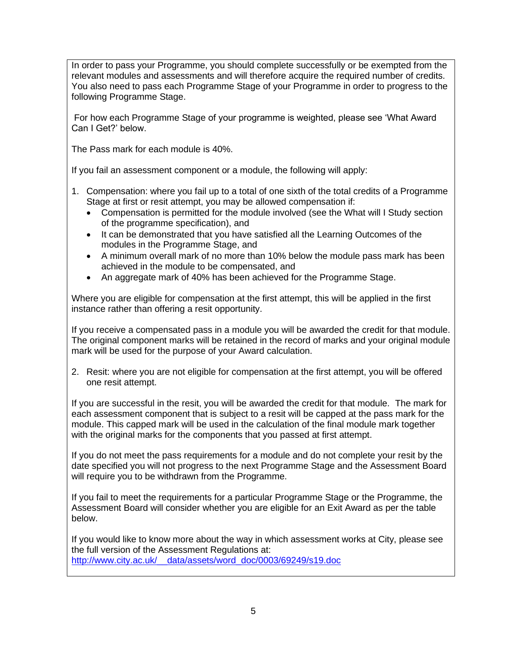In order to pass your Programme, you should complete successfully or be exempted from the relevant modules and assessments and will therefore acquire the required number of credits. You also need to pass each Programme Stage of your Programme in order to progress to the following Programme Stage.

For how each Programme Stage of your programme is weighted, please see 'What Award Can I Get?' below.

The Pass mark for each module is 40%.

If you fail an assessment component or a module, the following will apply:

- 1. Compensation: where you fail up to a total of one sixth of the total credits of a Programme Stage at first or resit attempt, you may be allowed compensation if:
	- Compensation is permitted for the module involved (see the What will I Study section of the programme specification), and
	- It can be demonstrated that you have satisfied all the Learning Outcomes of the modules in the Programme Stage, and
	- A minimum overall mark of no more than 10% below the module pass mark has been achieved in the module to be compensated, and
	- An aggregate mark of 40% has been achieved for the Programme Stage.

Where you are eligible for compensation at the first attempt, this will be applied in the first instance rather than offering a resit opportunity.

If you receive a compensated pass in a module you will be awarded the credit for that module. The original component marks will be retained in the record of marks and your original module mark will be used for the purpose of your Award calculation.

2. Resit: where you are not eligible for compensation at the first attempt, you will be offered one resit attempt.

If you are successful in the resit, you will be awarded the credit for that module. The mark for each assessment component that is subject to a resit will be capped at the pass mark for the module. This capped mark will be used in the calculation of the final module mark together with the original marks for the components that you passed at first attempt.

If you do not meet the pass requirements for a module and do not complete your resit by the date specified you will not progress to the next Programme Stage and the Assessment Board will require you to be withdrawn from the Programme.

If you fail to meet the requirements for a particular Programme Stage or the Programme, the Assessment Board will consider whether you are eligible for an Exit Award as per the table below.

If you would like to know more about the way in which assessment works at City, please see the full version of the Assessment Regulations at: [http://www.city.ac.uk/\\_\\_data/assets/word\\_doc/0003/69249/s19.doc](http://www.city.ac.uk/__data/assets/word_doc/0003/69249/s19.doc)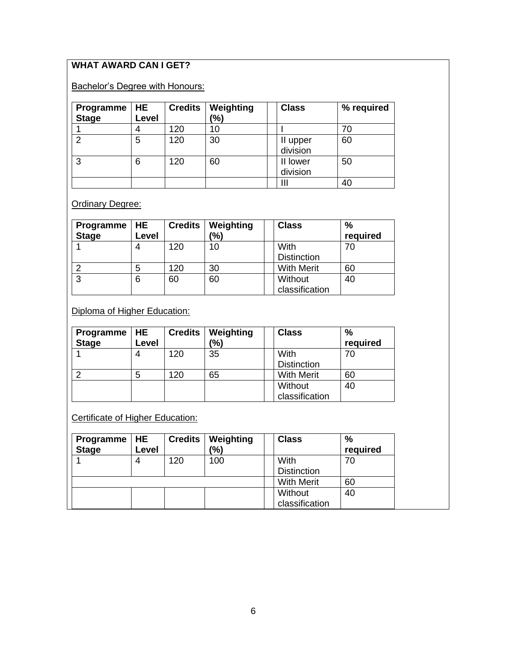# **WHAT AWARD CAN I GET?**

# **Bachelor's Degree with Honours:**

| Programme<br><b>Stage</b> | <b>HE</b><br>Level | <b>Credits</b> | Weighting<br>(%) | <b>Class</b>         | % required |
|---------------------------|--------------------|----------------|------------------|----------------------|------------|
|                           | 4                  | 120            | 10               |                      | 70         |
| ⌒                         | 5                  | 120            | 30               | II upper<br>division | 60         |
| ົ                         | 6                  | 120            | 60               | II lower<br>division | 50         |
|                           |                    |                |                  |                      | 40         |

# **Ordinary Degree:**

| Programme<br><b>Stage</b> | <b>HE</b><br>Level | <b>Credits</b> | Weighting<br>(%) | <b>Class</b>               | %<br>required |
|---------------------------|--------------------|----------------|------------------|----------------------------|---------------|
|                           | 4                  | 120            | 10               | With<br><b>Distinction</b> | 70            |
|                           | 5                  | 120            | 30               | <b>With Merit</b>          | 60            |
| ◠                         | 6                  | 60             | 60               | Without<br>classification  | 40            |

Diploma of Higher Education:

| Programme $ HE$<br><b>Stage</b> | Level | <b>Credits</b> | Weighting<br>$\frac{1}{2}$ | <b>Class</b>               | %<br>required |
|---------------------------------|-------|----------------|----------------------------|----------------------------|---------------|
|                                 | 4     | 120            | 35                         | With<br><b>Distinction</b> | 70            |
|                                 | 5     | 120            | 65                         | <b>With Merit</b>          | 60            |
|                                 |       |                |                            | Without<br>classification  | 40            |

Certificate of Higher Education:

| Programme   HE<br><b>Stage</b> | Level | <b>Credits</b> | Weighting<br>(%) | <b>Class</b>       | %<br>required |
|--------------------------------|-------|----------------|------------------|--------------------|---------------|
|                                |       | 120            | 100              | With               | 70            |
|                                |       |                |                  | <b>Distinction</b> |               |
|                                |       |                |                  | <b>With Merit</b>  | 60            |
|                                |       |                |                  | Without            | 40            |
|                                |       |                |                  | classification     |               |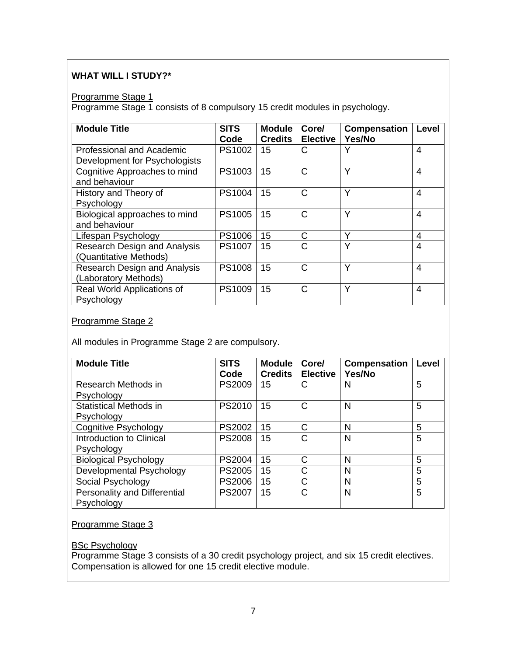## **WHAT WILL I STUDY?\***

#### Programme Stage 1

Programme Stage 1 consists of 8 compulsory 15 credit modules in psychology.

| <b>Module Title</b>                                           | <b>SITS</b><br>Code | <b>Module</b><br><b>Credits</b> | Core/<br><b>Elective</b> | Compensation<br>Yes/No | Level          |
|---------------------------------------------------------------|---------------------|---------------------------------|--------------------------|------------------------|----------------|
| Professional and Academic<br>Development for Psychologists    | PS1002              | 15                              | C                        |                        | 4              |
| Cognitive Approaches to mind<br>and behaviour                 | PS1003              | 15                              | C                        | Υ                      | 4              |
| History and Theory of<br>Psychology                           | PS1004              | 15                              | C                        | Υ                      | 4              |
| Biological approaches to mind<br>and behaviour                | PS1005              | 15                              | C                        | Υ                      | 4              |
| Lifespan Psychology                                           | PS1006              | 15                              | C                        | ٧                      | 4              |
| <b>Research Design and Analysis</b><br>(Quantitative Methods) | PS1007              | 15                              | C                        | Υ                      | 4              |
| Research Design and Analysis<br>(Laboratory Methods)          | <b>PS1008</b>       | 15                              | C                        | Υ                      | $\overline{4}$ |
| Real World Applications of<br>Psychology                      | PS1009              | 15                              | C                        | v                      | 4              |

# Programme Stage 2

All modules in Programme Stage 2 are compulsory.

| <b>Module Title</b>                         | <b>SITS</b><br>Code | <b>Module</b><br><b>Credits</b> | Core/<br><b>Elective</b> | <b>Compensation</b><br>Yes/No | Level |
|---------------------------------------------|---------------------|---------------------------------|--------------------------|-------------------------------|-------|
| Research Methods in<br>Psychology           | <b>PS2009</b>       | 15                              | С                        | N                             | 5     |
| <b>Statistical Methods in</b><br>Psychology | PS2010              | 15                              | C                        | N                             | 5     |
| <b>Cognitive Psychology</b>                 | PS2002              | 15                              | C                        | N                             | 5     |
| Introduction to Clinical<br>Psychology      | <b>PS2008</b>       | 15                              | C                        | N                             | 5     |
| <b>Biological Psychology</b>                | PS2004              | 15                              | С                        | N                             | 5     |
| Developmental Psychology                    | PS2005              | 15                              | C                        | N                             | 5     |
| Social Psychology                           | <b>PS2006</b>       | 15                              | C                        | N                             | 5     |
| Personality and Differential<br>Psychology  | <b>PS2007</b>       | 15                              | C                        | N                             | 5     |

#### Programme Stage 3

#### BSc Psychology

Programme Stage 3 consists of a 30 credit psychology project, and six 15 credit electives. Compensation is allowed for one 15 credit elective module.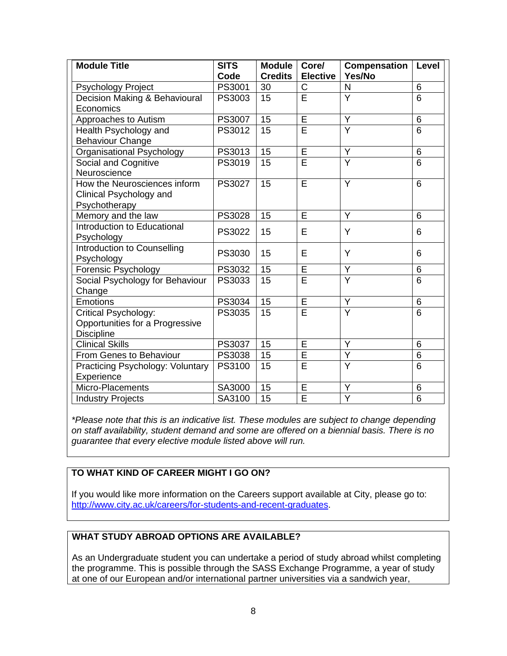| <b>Module Title</b>                     | <b>SITS</b><br>Code | <b>Module</b><br><b>Credits</b> | Core/<br><b>Elective</b> | <b>Compensation</b><br>Yes/No | <b>Level</b>   |
|-----------------------------------------|---------------------|---------------------------------|--------------------------|-------------------------------|----------------|
| Psychology Project                      | PS3001              | 30                              | С                        | N                             | 6              |
| Decision Making & Behavioural           | PS3003              | 15                              | Ē                        | Y                             | 6              |
| Economics                               |                     |                                 |                          |                               |                |
| Approaches to Autism                    | PS3007              | 15                              | E                        | Υ                             | 6              |
| Health Psychology and                   | PS3012              | 15                              | $\overline{\mathsf{E}}$  | $\overline{\mathsf{Y}}$       | $\overline{6}$ |
| <b>Behaviour Change</b>                 |                     |                                 |                          |                               |                |
| Organisational Psychology               | PS3013              | 15                              | E                        | Υ                             | 6              |
| Social and Cognitive                    | PS3019              | $\overline{15}$                 | Ē                        | $\overline{\mathsf{Y}}$       | $\overline{6}$ |
| Neuroscience                            |                     |                                 |                          |                               |                |
| How the Neurosciences inform            | PS3027              | 15                              | Ē                        | Ý                             | 6              |
| Clinical Psychology and                 |                     |                                 |                          |                               |                |
| Psychotherapy                           |                     |                                 |                          |                               |                |
| Memory and the law                      | PS3028              | 15                              | E                        | Y                             | 6              |
| Introduction to Educational             | PS3022              | 15                              | E                        | Y                             | 6              |
| Psychology                              |                     |                                 |                          |                               |                |
| Introduction to Counselling             | PS3030              | 15                              | E                        | Y                             | 6              |
| Psychology                              |                     |                                 |                          |                               |                |
| Forensic Psychology                     | PS3032              | 15                              | E                        | Y                             | 6              |
| Social Psychology for Behaviour         | PS3033              | 15                              | Ē                        | $\overline{Y}$                | 6              |
| Change                                  |                     |                                 |                          |                               |                |
| <b>Emotions</b>                         | PS3034              | 15                              | E                        | Υ                             | 6              |
| Critical Psychology:                    | PS3035              | 15                              | Ē                        | $\overline{\mathsf{Y}}$       | 6              |
| Opportunities for a Progressive         |                     |                                 |                          |                               |                |
| <b>Discipline</b>                       |                     |                                 |                          |                               |                |
| <b>Clinical Skills</b>                  | PS3037              | 15                              | E                        | Y                             | 6              |
| From Genes to Behaviour                 | PS3038              | 15                              | E                        | $\overline{Y}$                | $\overline{6}$ |
| <b>Practicing Psychology: Voluntary</b> | PS3100              | 15                              | E                        | Y                             | 6              |
| Experience                              |                     |                                 |                          |                               |                |
| Micro-Placements                        | SA3000              | 15                              | E                        | Υ                             | 6              |
| <b>Industry Projects</b>                | SA3100              | 15                              | Ē                        | $\overline{\mathsf{Y}}$       | $\overline{6}$ |

*\*Please note that this is an indicative list. These modules are subject to change depending on staff availability, student demand and some are offered on a biennial basis. There is no guarantee that every elective module listed above will run.*

### **TO WHAT KIND OF CAREER MIGHT I GO ON?**

If you would like more information on the Careers support available at City, please go to: [http://www.city.ac.uk/careers/for-students-and-recent-graduates.](http://www.city.ac.uk/careers/for-students-and-recent-graduates)

#### **WHAT STUDY ABROAD OPTIONS ARE AVAILABLE?**

As an Undergraduate student you can undertake a period of study abroad whilst completing the programme. This is possible through the SASS Exchange Programme, a year of study at one of our European and/or international partner universities via a sandwich year,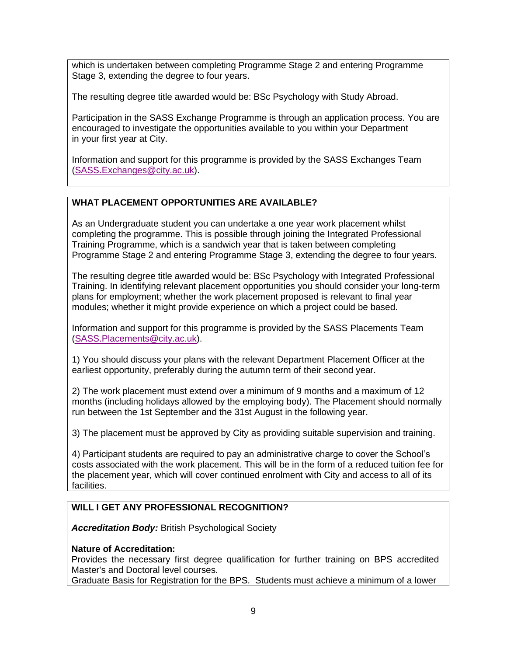which is undertaken between completing Programme Stage 2 and entering Programme Stage 3, extending the degree to four years.

The resulting degree title awarded would be: BSc Psychology with Study Abroad.

Participation in the SASS Exchange Programme is through an application process. You are encouraged to investigate the opportunities available to you within your Department in your first year at City.

Information and support for this programme is provided by the SASS Exchanges Team [\(SASS.Exchanges@city.ac.uk\)](mailto:SASS.Exchanges@city.ac.uk).

# **WHAT PLACEMENT OPPORTUNITIES ARE AVAILABLE?**

As an Undergraduate student you can undertake a one year work placement whilst completing the programme. This is possible through joining the Integrated Professional Training Programme, which is a sandwich year that is taken between completing Programme Stage 2 and entering Programme Stage 3, extending the degree to four years.

The resulting degree title awarded would be: BSc Psychology with Integrated Professional Training. In identifying relevant placement opportunities you should consider your long-term plans for employment; whether the work placement proposed is relevant to final year modules; whether it might provide experience on which a project could be based.

Information and support for this programme is provided by the SASS Placements Team [\(SASS.Placements@city.ac.uk\)](mailto:SASS.Placements@city.ac.uk).

1) You should discuss your plans with the relevant Department Placement Officer at the earliest opportunity, preferably during the autumn term of their second year.

2) The work placement must extend over a minimum of 9 months and a maximum of 12 months (including holidays allowed by the employing body). The Placement should normally run between the 1st September and the 31st August in the following year.

3) The placement must be approved by City as providing suitable supervision and training.

4) Participant students are required to pay an administrative charge to cover the School's costs associated with the work placement. This will be in the form of a reduced tuition fee for the placement year, which will cover continued enrolment with City and access to all of its facilities.

# **WILL I GET ANY PROFESSIONAL RECOGNITION?**

*Accreditation Body:* British Psychological Society

#### **Nature of Accreditation:**

Provides the necessary first degree qualification for further training on BPS accredited Master's and Doctoral level courses.

Graduate Basis for Registration for the BPS. Students must achieve a minimum of a lower